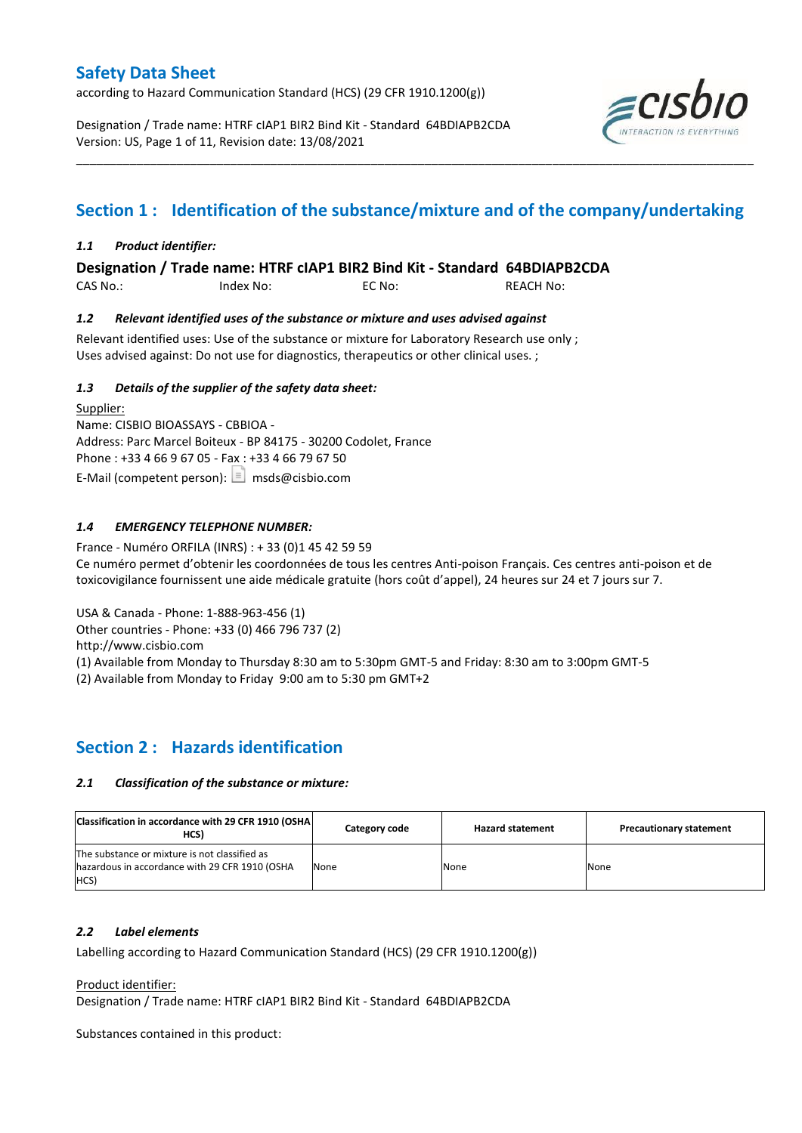according to Hazard Communication Standard (HCS) (29 CFR 1910.1200(g))

Designation / Trade name: HTRF cIAP1 BIR2 Bind Kit - Standard 64BDIAPB2CDA Version: US, Page 1 of 11, Revision date: 13/08/2021



# **Section 1 : Identification of the substance/mixture and of the company/undertaking**

\_\_\_\_\_\_\_\_\_\_\_\_\_\_\_\_\_\_\_\_\_\_\_\_\_\_\_\_\_\_\_\_\_\_\_\_\_\_\_\_\_\_\_\_\_\_\_\_\_\_\_\_\_\_\_\_\_\_\_\_\_\_\_\_\_\_\_\_\_\_\_\_\_\_\_\_\_\_\_\_\_\_\_\_\_\_\_\_\_\_\_\_\_\_\_\_\_\_\_\_\_

### *1.1 Product identifier:*

**Designation / Trade name: HTRF cIAP1 BIR2 Bind Kit - Standard 64BDIAPB2CDA** 

CAS No.: Index No: EC No: REACH No:

### *1.2 Relevant identified uses of the substance or mixture and uses advised against*

Relevant identified uses: Use of the substance or mixture for Laboratory Research use only ; Uses advised against: Do not use for diagnostics, therapeutics or other clinical uses. ;

### *1.3 Details of the supplier of the safety data sheet:*

Supplier: Name: CISBIO BIOASSAYS - CBBIOA - Address: Parc Marcel Boiteux - BP 84175 - 30200 Codolet, France Phone : +33 4 66 9 67 05 - Fax : +33 4 66 79 67 50 E-Mail (competent person):  $\boxed{\equiv}$  msds@cisbio.com

### *1.4 EMERGENCY TELEPHONE NUMBER:*

France - Numéro ORFILA (INRS) : + 33 (0)1 45 42 59 59 Ce numéro permet d'obtenir les coordonnées de tous les centres Anti-poison Français. Ces centres anti-poison et de toxicovigilance fournissent une aide médicale gratuite (hors coût d'appel), 24 heures sur 24 et 7 jours sur 7.

USA & Canada - Phone: 1-888-963-456 (1)

Other countries - Phone: +33 (0) 466 796 737 (2)

http://www.cisbio.com

(1) Available from Monday to Thursday 8:30 am to 5:30pm GMT-5 and Friday: 8:30 am to 3:00pm GMT-5

(2) Available from Monday to Friday 9:00 am to 5:30 pm GMT+2

### **Section 2 : Hazards identification**

### *2.1 Classification of the substance or mixture:*

| Classification in accordance with 29 CFR 1910 (OSHA)<br>HCS)                                            | Category code | <b>Hazard statement</b> | <b>Precautionary statement</b> |
|---------------------------------------------------------------------------------------------------------|---------------|-------------------------|--------------------------------|
| The substance or mixture is not classified as<br>hazardous in accordance with 29 CFR 1910 (OSHA<br>HCS) | None          | None                    | None                           |

### *2.2 Label elements*

Labelling according to Hazard Communication Standard (HCS) (29 CFR 1910.1200(g))

Product identifier:

Designation / Trade name: HTRF cIAP1 BIR2 Bind Kit - Standard 64BDIAPB2CDA

Substances contained in this product: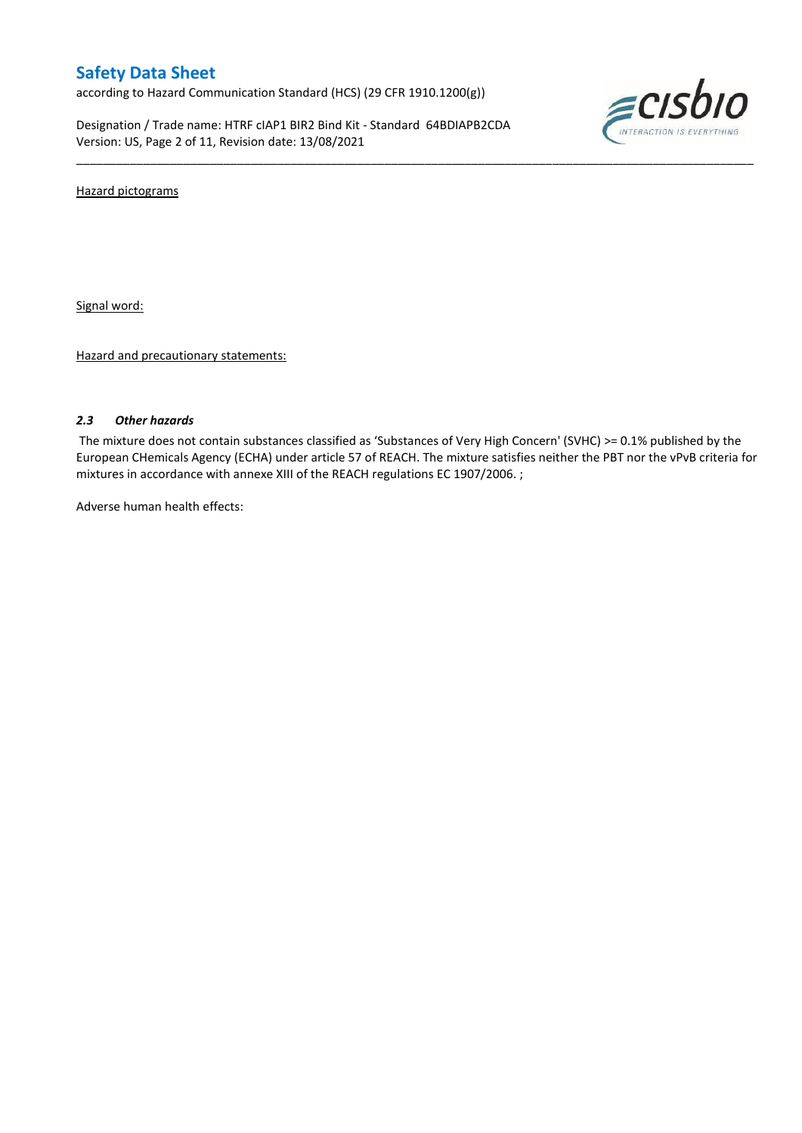according to Hazard Communication Standard (HCS) (29 CFR 1910.1200(g))

Designation / Trade name: HTRF cIAP1 BIR2 Bind Kit - Standard 64BDIAPB2CDA Version: US, Page 2 of 11, Revision date: 13/08/2021



Hazard pictograms

Signal word:

Hazard and precautionary statements:

### *2.3 Other hazards*

The mixture does not contain substances classified as 'Substances of Very High Concern' (SVHC) >= 0.1% published by the European CHemicals Agency (ECHA) under article 57 of REACH. The mixture satisfies neither the PBT nor the vPvB criteria for mixtures in accordance with annexe XIII of the REACH regulations EC 1907/2006. ;

\_\_\_\_\_\_\_\_\_\_\_\_\_\_\_\_\_\_\_\_\_\_\_\_\_\_\_\_\_\_\_\_\_\_\_\_\_\_\_\_\_\_\_\_\_\_\_\_\_\_\_\_\_\_\_\_\_\_\_\_\_\_\_\_\_\_\_\_\_\_\_\_\_\_\_\_\_\_\_\_\_\_\_\_\_\_\_\_\_\_\_\_\_\_\_\_\_\_\_\_\_

Adverse human health effects: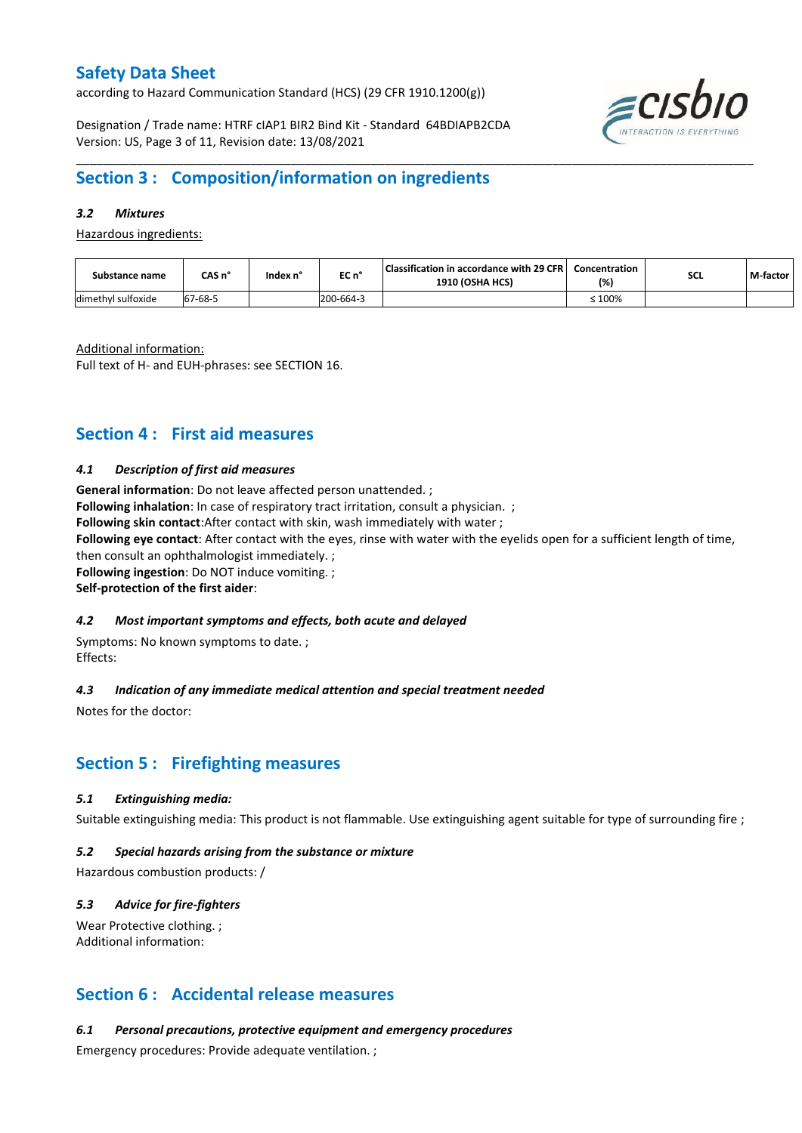according to Hazard Communication Standard (HCS) (29 CFR 1910.1200(g))

Designation / Trade name: HTRF cIAP1 BIR2 Bind Kit - Standard 64BDIAPB2CDA Version: US, Page 3 of 11, Revision date: 13/08/2021



# **Section 3 : Composition/information on ingredients**

### *3.2 Mixtures*

Hazardous ingredients:

| Substance name     | CAS n' | Index n' | EC n°     | Classification in accordance with 29 CFR  <br><b>1910 (OSHA HCS)</b> | Concentration<br>(%) | <b>SCL</b> | M-factor |
|--------------------|--------|----------|-----------|----------------------------------------------------------------------|----------------------|------------|----------|
| dimethyl sulfoxide | 7-68-5 |          | 200-664-3 |                                                                      | 100%                 |            |          |

\_\_\_\_\_\_\_\_\_\_\_\_\_\_\_\_\_\_\_\_\_\_\_\_\_\_\_\_\_\_\_\_\_\_\_\_\_\_\_\_\_\_\_\_\_\_\_\_\_\_\_\_\_\_\_\_\_\_\_\_\_\_\_\_\_\_\_\_\_\_\_\_\_\_\_\_\_\_\_\_\_\_\_\_\_\_\_\_\_\_\_\_\_\_\_\_\_\_\_\_\_

Additional information:

Full text of H- and EUH-phrases: see SECTION 16.

### **Section 4 : First aid measures**

### *4.1 Description of first aid measures*

**General information**: Do not leave affected person unattended. ; **Following inhalation**: In case of respiratory tract irritation, consult a physician. ; **Following skin contact**:After contact with skin, wash immediately with water ; **Following eye contact**: After contact with the eyes, rinse with water with the eyelids open for a sufficient length of time, then consult an ophthalmologist immediately. ; **Following ingestion**: Do NOT induce vomiting. ;

**Self-protection of the first aider**:

### *4.2 Most important symptoms and effects, both acute and delayed*

Symptoms: No known symptoms to date. ; Effects:

### *4.3 Indication of any immediate medical attention and special treatment needed*

Notes for the doctor:

### **Section 5 : Firefighting measures**

### *5.1 Extinguishing media:*

Suitable extinguishing media: This product is not flammable. Use extinguishing agent suitable for type of surrounding fire ;

### *5.2 Special hazards arising from the substance or mixture*

Hazardous combustion products: /

### *5.3 Advice for fire-fighters*

Wear Protective clothing. ; Additional information:

### **Section 6 : Accidental release measures**

*6.1 Personal precautions, protective equipment and emergency procedures*

Emergency procedures: Provide adequate ventilation. ;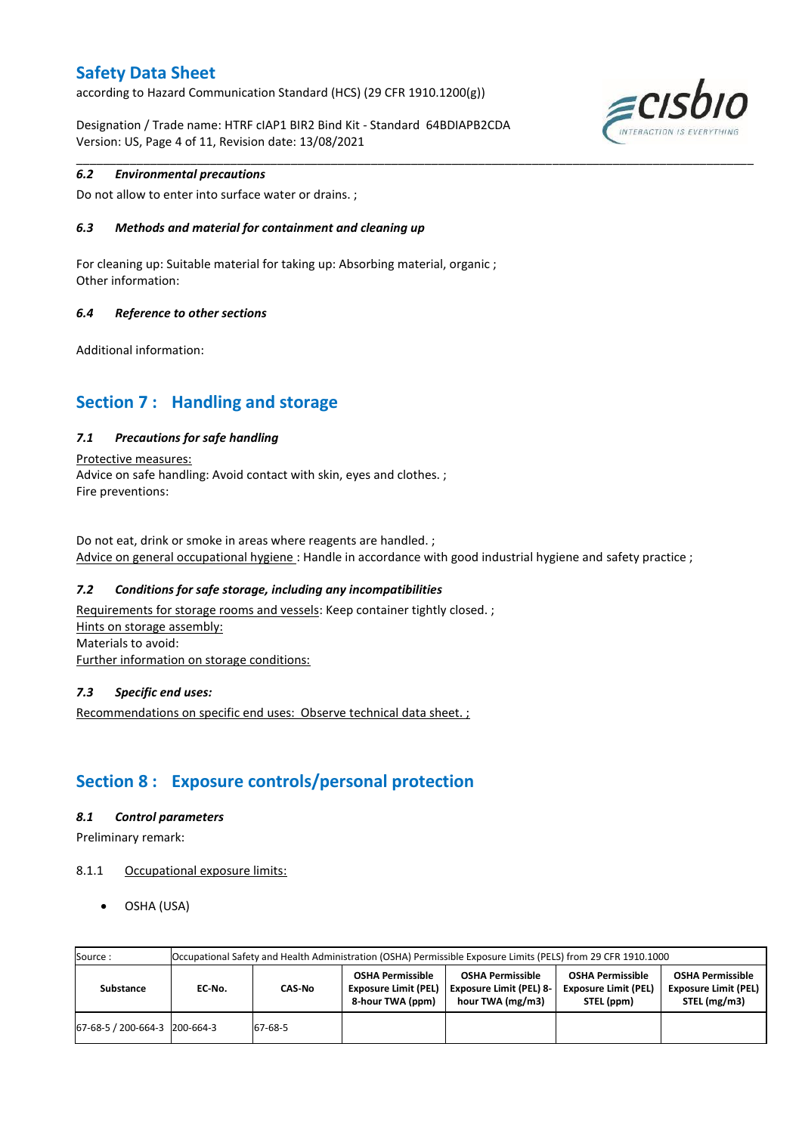according to Hazard Communication Standard (HCS) (29 CFR 1910.1200(g))

Designation / Trade name: HTRF cIAP1 BIR2 Bind Kit - Standard 64BDIAPB2CDA Version: US, Page 4 of 11, Revision date: 13/08/2021



### *6.2 Environmental precautions*

Do not allow to enter into surface water or drains. ;

### *6.3 Methods and material for containment and cleaning up*

For cleaning up: Suitable material for taking up: Absorbing material, organic ; Other information:

### *6.4 Reference to other sections*

Additional information:

## **Section 7 : Handling and storage**

### *7.1 Precautions for safe handling*

Protective measures: Advice on safe handling: Avoid contact with skin, eyes and clothes. ; Fire preventions:

Do not eat, drink or smoke in areas where reagents are handled. ; Advice on general occupational hygiene : Handle in accordance with good industrial hygiene and safety practice ;

\_\_\_\_\_\_\_\_\_\_\_\_\_\_\_\_\_\_\_\_\_\_\_\_\_\_\_\_\_\_\_\_\_\_\_\_\_\_\_\_\_\_\_\_\_\_\_\_\_\_\_\_\_\_\_\_\_\_\_\_\_\_\_\_\_\_\_\_\_\_\_\_\_\_\_\_\_\_\_\_\_\_\_\_\_\_\_\_\_\_\_\_\_\_\_\_\_\_\_\_\_

### *7.2 Conditions for safe storage, including any incompatibilities*

Requirements for storage rooms and vessels: Keep container tightly closed. ; Hints on storage assembly: Materials to avoid: Further information on storage conditions:

### *7.3 Specific end uses:*

Recommendations on specific end uses: Observe technical data sheet. ;

## **Section 8 : Exposure controls/personal protection**

### *8.1 Control parameters*

Preliminary remark:

- 8.1.1 Occupational exposure limits:
	- OSHA (USA)

| Source:                       | Occupational Safety and Health Administration (OSHA) Permissible Exposure Limits (PELS) from 29 CFR 1910.1000 |         |                                                                            |                                                                               |                                                                      |                                                                        |  |  |  |
|-------------------------------|---------------------------------------------------------------------------------------------------------------|---------|----------------------------------------------------------------------------|-------------------------------------------------------------------------------|----------------------------------------------------------------------|------------------------------------------------------------------------|--|--|--|
| Substance                     | EC No.                                                                                                        | CAS-No  | <b>OSHA Permissible</b><br><b>Exposure Limit (PEL)</b><br>8-hour TWA (ppm) | <b>OSHA Permissible</b><br><b>Exposure Limit (PEL) 8-</b><br>hour TWA (mg/m3) | <b>OSHA Permissible</b><br><b>Exposure Limit (PEL)</b><br>STEL (ppm) | <b>OSHA Permissible</b><br><b>Exposure Limit (PEL)</b><br>STEL (mg/m3) |  |  |  |
| 67-68-5 / 200-664-3 200-664-3 |                                                                                                               | 67-68-5 |                                                                            |                                                                               |                                                                      |                                                                        |  |  |  |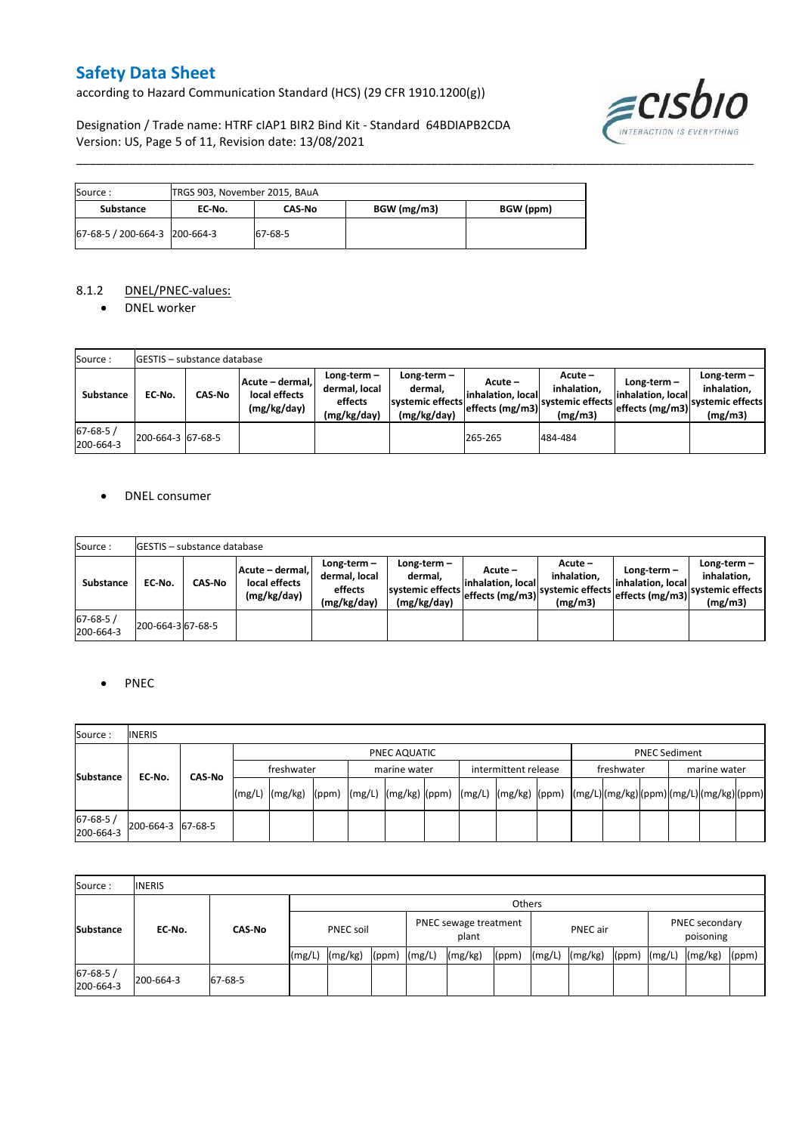according to Hazard Communication Standard (HCS) (29 CFR 1910.1200(g))

Designation / Trade name: HTRF cIAP1 BIR2 Bind Kit - Standard 64BDIAPB2CDA Version: US, Page 5 of 11, Revision date: 13/08/2021



| Source :                      | TRGS 903, November 2015, BAuA |               |             |           |  |  |  |
|-------------------------------|-------------------------------|---------------|-------------|-----------|--|--|--|
| Substance                     | EC No.                        | <b>CAS No</b> | BGW (mg/m3) | BGW (ppm) |  |  |  |
| 67-68-5 / 200-664-3 200-664-3 |                               | 67-68-5       |             |           |  |  |  |

### 8.1.2 DNEL/PNEC-values:

• DNEL worker

| Source:                    |                   | <b>GESTIS</b> – substance database |                                                 |                                                       |                                                           |                                                      |                                                       |                                                        |                                                          |  |  |
|----------------------------|-------------------|------------------------------------|-------------------------------------------------|-------------------------------------------------------|-----------------------------------------------------------|------------------------------------------------------|-------------------------------------------------------|--------------------------------------------------------|----------------------------------------------------------|--|--|
| Substance                  | EC No.            | <b>CAS-No</b>                      | Acute - dermal,<br>local effects<br>(mg/kg/day) | Long-term-<br>dermal, local<br>effects<br>(mg/kg/day) | Long-term –<br>dermal.<br>systemic effects<br>(mg/kg/day) | $Acute -$<br>linhalation. local<br>effects $(mg/m3)$ | Acute -<br>inhalation.<br>systemic effects<br>(mg/m3) | $Long-term -$<br>linhalation. local<br>effects (mg/m3) | Long-term-<br>inhalation.<br>systemic effects<br>(mg/m3) |  |  |
| $67 - 68 - 5$<br>200-664-3 | 200-664-3 67-68-5 |                                    |                                                 |                                                       |                                                           | 265-265                                              | 484-484                                               |                                                        |                                                          |  |  |

\_\_\_\_\_\_\_\_\_\_\_\_\_\_\_\_\_\_\_\_\_\_\_\_\_\_\_\_\_\_\_\_\_\_\_\_\_\_\_\_\_\_\_\_\_\_\_\_\_\_\_\_\_\_\_\_\_\_\_\_\_\_\_\_\_\_\_\_\_\_\_\_\_\_\_\_\_\_\_\_\_\_\_\_\_\_\_\_\_\_\_\_\_\_\_\_\_\_\_\_\_

### DNEL consumer

| Source:                     |                   | <b>IGESTIS - substance database</b> |                                                 |                                                       |                                                             |                                                  |                                                       |                                                      |                                                             |  |  |
|-----------------------------|-------------------|-------------------------------------|-------------------------------------------------|-------------------------------------------------------|-------------------------------------------------------------|--------------------------------------------------|-------------------------------------------------------|------------------------------------------------------|-------------------------------------------------------------|--|--|
| <b>Substance</b>            | EC No.            | CAS No                              | Acute - dermal.<br>local effects<br>(mg/kg/day) | Long-term-<br>dermal, local<br>effects<br>(mg/kg/day) | Long-term $-$<br>dermal.<br>systemic effects<br>(mg/kg/day) | Acute –<br>linhalation. local<br>effects (mg/m3) | Acute -<br>inhalation.<br>systemic effects<br>(mg/m3) | Long-term –<br>linhalation. local<br>effects (mg/m3) | $Long-term -$<br>inhalation.<br>systemic effects<br>(mg/m3) |  |  |
| $67 - 68 - 5/$<br>200-664-3 | 200-664-3 67-68-5 |                                     |                                                 |                                                       |                                                             |                                                  |                                                       |                                                      |                                                             |  |  |

### PNEC

| Source:               | <b>INERIS</b>     |            |  |                                                                                                                    |  |              |  |  |                      |  |            |                      |              |  |  |  |  |
|-----------------------|-------------------|------------|--|--------------------------------------------------------------------------------------------------------------------|--|--------------|--|--|----------------------|--|------------|----------------------|--------------|--|--|--|--|
|                       |                   |            |  | PNEC AQUATIC                                                                                                       |  |              |  |  |                      |  |            | <b>PNEC Sediment</b> |              |  |  |  |  |
| <b>Substance</b>      | CAS-No            | freshwater |  |                                                                                                                    |  | marine water |  |  | intermittent release |  | freshwater |                      | marine water |  |  |  |  |
|                       | EC-No.            |            |  | [(mg/L)  (mg/kg)  (ppm)  (mg/L)  (mg/kg)  (ppm)  (mg/L)  (mg/kg)  (ppm)  (mg/L) (mg/kg) (ppm) (mg/L) (mg/kg) (ppm) |  |              |  |  |                      |  |            |                      |              |  |  |  |  |
| 67-68-5/<br>200-664-3 | 200-664-3 67-68-5 |            |  |                                                                                                                    |  |              |  |  |                      |  |            |                      |              |  |  |  |  |

| Source:                     | <b>INERIS</b> |               |                  |         |                                |  |                 |       |        |                                    |       |        |         |       |
|-----------------------------|---------------|---------------|------------------|---------|--------------------------------|--|-----------------|-------|--------|------------------------------------|-------|--------|---------|-------|
| <b>Substance</b>            |               | <b>CAS-No</b> |                  | Others  |                                |  |                 |       |        |                                    |       |        |         |       |
|                             | EC-No.        |               | <b>PNEC soil</b> |         | PNEC sewage treatment<br>plant |  | <b>PNEC</b> air |       |        | <b>PNEC</b> secondary<br>poisoning |       |        |         |       |
|                             |               |               | (mg/L)           | (mg/kg) | $(ppm)$ $(mg/L)$               |  | (mg/kg)         | (ppm) | (mg/L) | (mg/kg)                            | (ppm) | (mg/L) | (mg/kg) | (ppm) |
| $67 - 68 - 5/$<br>200-664-3 | 200-664-3     | 67-68-5       |                  |         |                                |  |                 |       |        |                                    |       |        |         |       |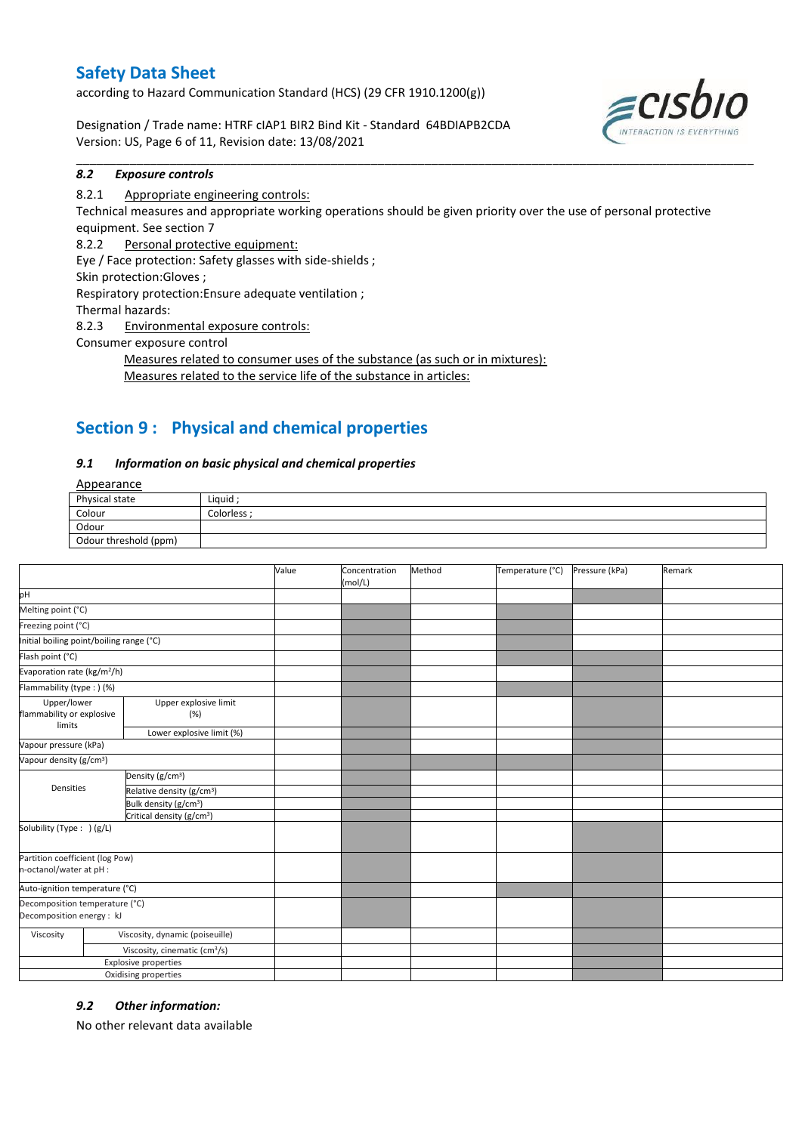according to Hazard Communication Standard (HCS) (29 CFR 1910.1200(g))

Designation / Trade name: HTRF cIAP1 BIR2 Bind Kit - Standard 64BDIAPB2CDA Version: US, Page 6 of 11, Revision date: 13/08/2021



### *8.2 Exposure controls*

### 8.2.1 Appropriate engineering controls:

Technical measures and appropriate working operations should be given priority over the use of personal protective equipment. See section 7

\_\_\_\_\_\_\_\_\_\_\_\_\_\_\_\_\_\_\_\_\_\_\_\_\_\_\_\_\_\_\_\_\_\_\_\_\_\_\_\_\_\_\_\_\_\_\_\_\_\_\_\_\_\_\_\_\_\_\_\_\_\_\_\_\_\_\_\_\_\_\_\_\_\_\_\_\_\_\_\_\_\_\_\_\_\_\_\_\_\_\_\_\_\_\_\_\_\_\_\_\_

8.2.2 Personal protective equipment:

Eye / Face protection: Safety glasses with side-shields ;

Skin protection:Gloves ;

Respiratory protection:Ensure adequate ventilation ;

Thermal hazards:

8.2.3 Environmental exposure controls:

Consumer exposure control

Measures related to consumer uses of the substance (as such or in mixtures): Measures related to the service life of the substance in articles:

# **Section 9 : Physical and chemical properties**

### *9.1 Information on basic physical and chemical properties*

**Annearance** 

| $-100$                |           |
|-----------------------|-----------|
| Physical state        | Liquid    |
| Colour                | Colorless |
| Odour                 |           |
| Odour threshold (ppm) |           |

|                                                             |                                           | Value | Concentration<br>(mol/L) | Method | Temperature (°C) | Pressure (kPa) | Remark |
|-------------------------------------------------------------|-------------------------------------------|-------|--------------------------|--------|------------------|----------------|--------|
| pH                                                          |                                           |       |                          |        |                  |                |        |
| Melting point (°C)                                          |                                           |       |                          |        |                  |                |        |
| Freezing point (°C)                                         |                                           |       |                          |        |                  |                |        |
| Initial boiling point/boiling range (°C)                    |                                           |       |                          |        |                  |                |        |
| Flash point (°C)                                            |                                           |       |                          |        |                  |                |        |
| Evaporation rate (kg/m <sup>2</sup> /h)                     |                                           |       |                          |        |                  |                |        |
| Flammability (type: ) (%)                                   |                                           |       |                          |        |                  |                |        |
| Upper/lower<br>flammability or explosive<br>limits          | Upper explosive limit<br>(%)              |       |                          |        |                  |                |        |
|                                                             | Lower explosive limit (%)                 |       |                          |        |                  |                |        |
| Vapour pressure (kPa)                                       |                                           |       |                          |        |                  |                |        |
| Vapour density (g/cm <sup>3</sup> )                         |                                           |       |                          |        |                  |                |        |
|                                                             | Density (g/cm <sup>3</sup> )              |       |                          |        |                  |                |        |
| Densities                                                   | Relative density (g/cm <sup>3</sup> )     |       |                          |        |                  |                |        |
|                                                             | Bulk density (g/cm <sup>3</sup> )         |       |                          |        |                  |                |        |
|                                                             | Critical density (g/cm <sup>3</sup> )     |       |                          |        |                  |                |        |
| Solubility (Type: ) (g/L)                                   |                                           |       |                          |        |                  |                |        |
| Partition coefficient (log Pow)<br>n-octanol/water at pH :  |                                           |       |                          |        |                  |                |        |
| Auto-ignition temperature (°C)                              |                                           |       |                          |        |                  |                |        |
| Decomposition temperature (°C)<br>Decomposition energy : kJ |                                           |       |                          |        |                  |                |        |
| Viscosity                                                   | Viscosity, dynamic (poiseuille)           |       |                          |        |                  |                |        |
|                                                             | Viscosity, cinematic (cm <sup>3</sup> /s) |       |                          |        |                  |                |        |
|                                                             | <b>Explosive properties</b>               |       |                          |        |                  |                |        |
|                                                             | Oxidising properties                      |       |                          |        |                  |                |        |

### *9.2 Other information:*

No other relevant data available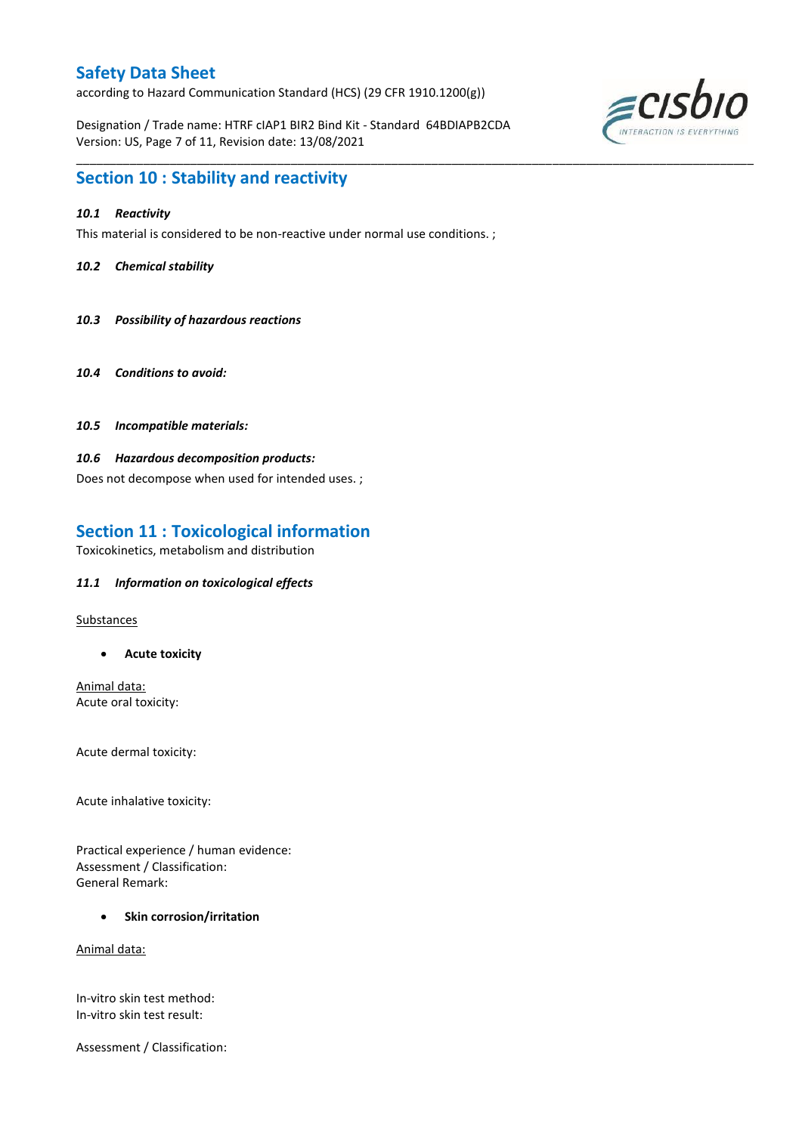according to Hazard Communication Standard (HCS) (29 CFR 1910.1200(g))

Designation / Trade name: HTRF cIAP1 BIR2 Bind Kit - Standard 64BDIAPB2CDA Version: US, Page 7 of 11, Revision date: 13/08/2021

\_\_\_\_\_\_\_\_\_\_\_\_\_\_\_\_\_\_\_\_\_\_\_\_\_\_\_\_\_\_\_\_\_\_\_\_\_\_\_\_\_\_\_\_\_\_\_\_\_\_\_\_\_\_\_\_\_\_\_\_\_\_\_\_\_\_\_\_\_\_\_\_\_\_\_\_\_\_\_\_\_\_\_\_\_\_\_\_\_\_\_\_\_\_\_\_\_\_\_\_\_



### **Section 10 : Stability and reactivity**

### *10.1 Reactivity*

This material is considered to be non-reactive under normal use conditions. ;

### *10.2 Chemical stability*

- *10.3 Possibility of hazardous reactions*
- *10.4 Conditions to avoid:*
- *10.5 Incompatible materials:*

### *10.6 Hazardous decomposition products:*

Does not decompose when used for intended uses. ;

# **Section 11 : Toxicological information**

Toxicokinetics, metabolism and distribution

### *11.1 Information on toxicological effects*

Substances

**Acute toxicity**

Animal data: Acute oral toxicity:

Acute dermal toxicity:

Acute inhalative toxicity:

Practical experience / human evidence: Assessment / Classification: General Remark:

### **•** Skin corrosion/irritation

Animal data:

In-vitro skin test method: In-vitro skin test result:

Assessment / Classification: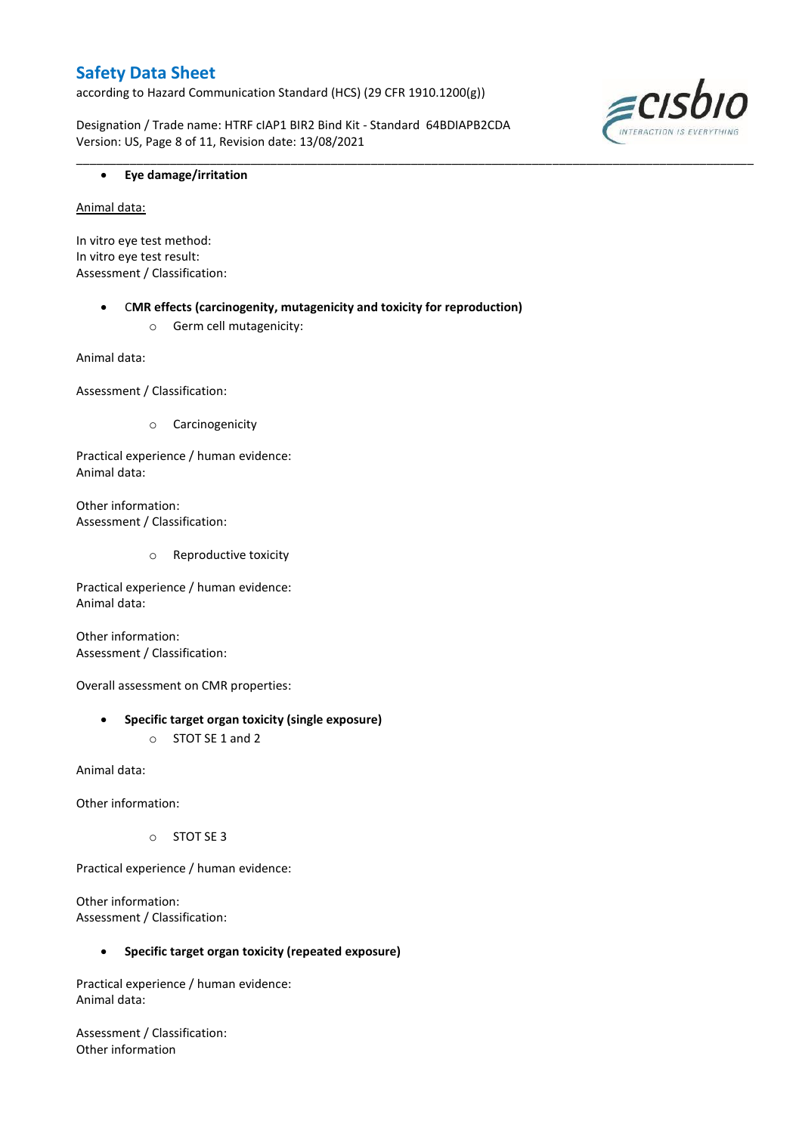according to Hazard Communication Standard (HCS) (29 CFR 1910.1200(g))

Designation / Trade name: HTRF cIAP1 BIR2 Bind Kit - Standard 64BDIAPB2CDA Version: US, Page 8 of 11, Revision date: 13/08/2021

\_\_\_\_\_\_\_\_\_\_\_\_\_\_\_\_\_\_\_\_\_\_\_\_\_\_\_\_\_\_\_\_\_\_\_\_\_\_\_\_\_\_\_\_\_\_\_\_\_\_\_\_\_\_\_\_\_\_\_\_\_\_\_\_\_\_\_\_\_\_\_\_\_\_\_\_\_\_\_\_\_\_\_\_\_\_\_\_\_\_\_\_\_\_\_\_\_\_\_\_\_



### **Eye damage/irritation**

Animal data:

In vitro eye test method: In vitro eye test result: Assessment / Classification:

> C**MR effects (carcinogenity, mutagenicity and toxicity for reproduction)** o Germ cell mutagenicity:

Animal data:

Assessment / Classification:

o Carcinogenicity

Practical experience / human evidence: Animal data:

Other information: Assessment / Classification:

o Reproductive toxicity

Practical experience / human evidence: Animal data:

Other information: Assessment / Classification:

Overall assessment on CMR properties:

### **Specific target organ toxicity (single exposure)**

o STOT SE 1 and 2

Animal data:

Other information:

o STOT SE 3

Practical experience / human evidence:

Other information: Assessment / Classification:

### **Specific target organ toxicity (repeated exposure)**

Practical experience / human evidence: Animal data:

Assessment / Classification: Other information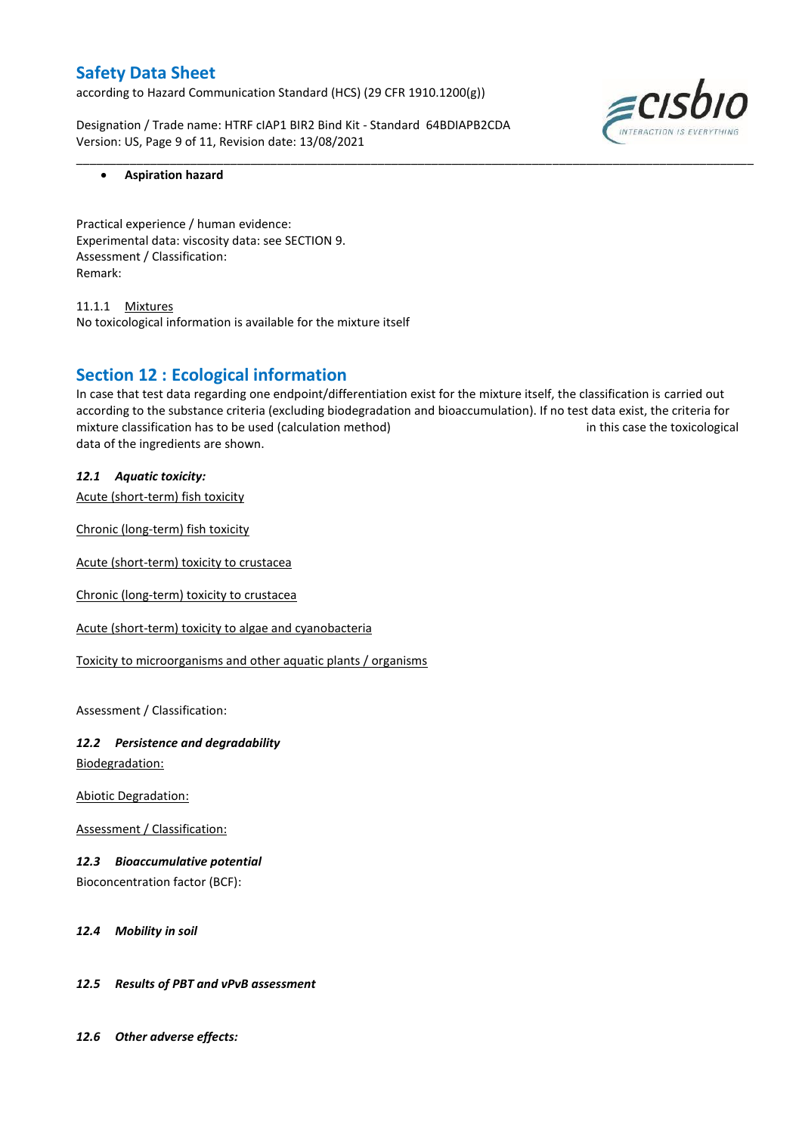according to Hazard Communication Standard (HCS) (29 CFR 1910.1200(g))

Designation / Trade name: HTRF cIAP1 BIR2 Bind Kit - Standard 64BDIAPB2CDA Version: US, Page 9 of 11, Revision date: 13/08/2021



### **Aspiration hazard**

Practical experience / human evidence: Experimental data: viscosity data: see SECTION 9. Assessment / Classification: Remark:

11.1.1 Mixtures No toxicological information is available for the mixture itself

### **Section 12 : Ecological information**

In case that test data regarding one endpoint/differentiation exist for the mixture itself, the classification is carried out according to the substance criteria (excluding biodegradation and bioaccumulation). If no test data exist, the criteria for mixture classification has to be used (calculation method) in this case the toxicological data of the ingredients are shown.

\_\_\_\_\_\_\_\_\_\_\_\_\_\_\_\_\_\_\_\_\_\_\_\_\_\_\_\_\_\_\_\_\_\_\_\_\_\_\_\_\_\_\_\_\_\_\_\_\_\_\_\_\_\_\_\_\_\_\_\_\_\_\_\_\_\_\_\_\_\_\_\_\_\_\_\_\_\_\_\_\_\_\_\_\_\_\_\_\_\_\_\_\_\_\_\_\_\_\_\_\_

*12.1 Aquatic toxicity:* 

Acute (short-term) fish toxicity

Chronic (long-term) fish toxicity

Acute (short-term) toxicity to crustacea

Chronic (long-term) toxicity to crustacea

Acute (short-term) toxicity to algae and cyanobacteria

Toxicity to microorganisms and other aquatic plants / organisms

Assessment / Classification:

# *12.2 Persistence and degradability*

Biodegradation:

Abiotic Degradation:

Assessment / Classification:

### *12.3 Bioaccumulative potential*

Bioconcentration factor (BCF):

### *12.4 Mobility in soil*

### *12.5 Results of PBT and vPvB assessment*

*12.6 Other adverse effects:*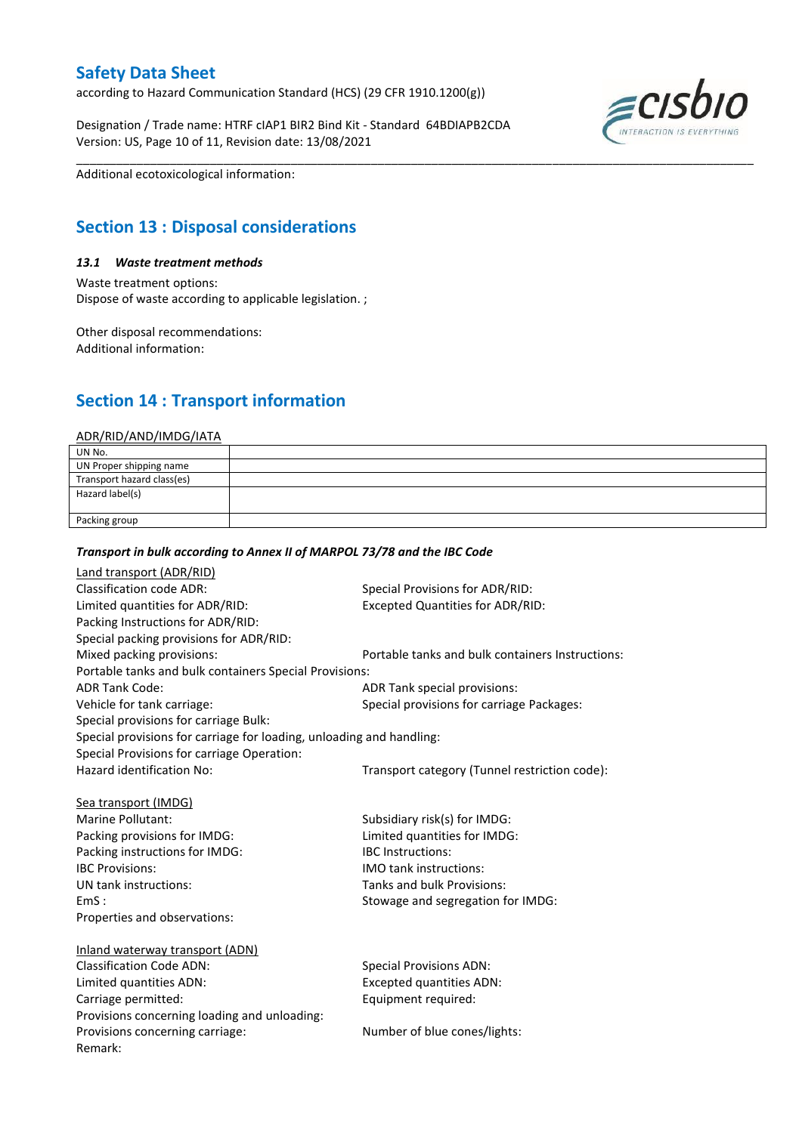according to Hazard Communication Standard (HCS) (29 CFR 1910.1200(g))

Designation / Trade name: HTRF cIAP1 BIR2 Bind Kit - Standard 64BDIAPB2CDA Version: US, Page 10 of 11, Revision date: 13/08/2021



Additional ecotoxicological information:

# **Section 13 : Disposal considerations**

### *13.1 Waste treatment methods*

Waste treatment options: Dispose of waste according to applicable legislation. ;

Other disposal recommendations: Additional information:

# **Section 14 : Transport information**

#### ADR/RID/AND/IMDG/IATA

| UN No.                     |  |
|----------------------------|--|
| UN Proper shipping name    |  |
| Transport hazard class(es) |  |
| Hazard label(s)            |  |
|                            |  |
| Packing group              |  |

\_\_\_\_\_\_\_\_\_\_\_\_\_\_\_\_\_\_\_\_\_\_\_\_\_\_\_\_\_\_\_\_\_\_\_\_\_\_\_\_\_\_\_\_\_\_\_\_\_\_\_\_\_\_\_\_\_\_\_\_\_\_\_\_\_\_\_\_\_\_\_\_\_\_\_\_\_\_\_\_\_\_\_\_\_\_\_\_\_\_\_\_\_\_\_\_\_\_\_\_\_

### *Transport in bulk according to Annex II of MARPOL 73/78 and the IBC Code*

| Land transport (ADR/RID)                                             |                                                  |
|----------------------------------------------------------------------|--------------------------------------------------|
| <b>Classification code ADR:</b>                                      | Special Provisions for ADR/RID:                  |
| Limited quantities for ADR/RID:                                      | <b>Excepted Quantities for ADR/RID:</b>          |
| Packing Instructions for ADR/RID:                                    |                                                  |
| Special packing provisions for ADR/RID:                              |                                                  |
| Mixed packing provisions:                                            | Portable tanks and bulk containers Instructions: |
| Portable tanks and bulk containers Special Provisions:               |                                                  |
| <b>ADR Tank Code:</b>                                                | ADR Tank special provisions:                     |
| Vehicle for tank carriage:                                           | Special provisions for carriage Packages:        |
| Special provisions for carriage Bulk:                                |                                                  |
| Special provisions for carriage for loading, unloading and handling: |                                                  |
| Special Provisions for carriage Operation:                           |                                                  |
| Hazard identification No:                                            | Transport category (Tunnel restriction code):    |
|                                                                      |                                                  |
| Sea transport (IMDG)                                                 |                                                  |
| Marine Pollutant:                                                    | Subsidiary risk(s) for IMDG:                     |
| Packing provisions for IMDG:                                         | Limited quantities for IMDG:                     |
| Packing instructions for IMDG:                                       | <b>IBC</b> Instructions:                         |
| <b>IBC Provisions:</b>                                               | <b>IMO</b> tank instructions:                    |
| UN tank instructions:                                                | Tanks and bulk Provisions:                       |
| EmS:                                                                 | Stowage and segregation for IMDG:                |
| Properties and observations:                                         |                                                  |
|                                                                      |                                                  |
| Inland waterway transport (ADN)                                      |                                                  |
| <b>Classification Code ADN:</b>                                      | <b>Special Provisions ADN:</b>                   |
| Limited quantities ADN:                                              | <b>Excepted quantities ADN:</b>                  |
| Carriage permitted:                                                  | Equipment required:                              |
| Provisions concerning loading and unloading:                         |                                                  |
| Provisions concerning carriage:                                      | Number of blue cones/lights:                     |
| Remark:                                                              |                                                  |
|                                                                      |                                                  |